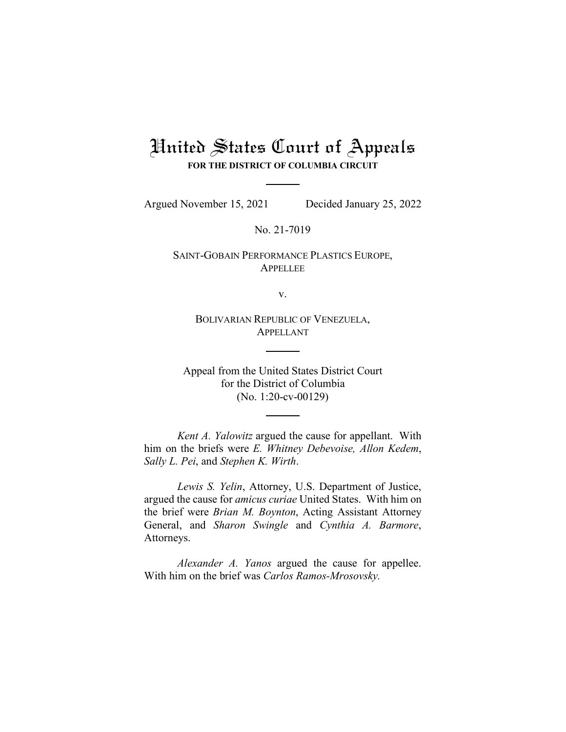## United States Court of Appeals **FOR THE DISTRICT OF COLUMBIA CIRCUIT**

Argued November 15, 2021 Decided January 25, 2022

No. 21-7019

SAINT-GOBAIN PERFORMANCE PLASTICS EUROPE, APPELLEE

v.

BOLIVARIAN REPUBLIC OF VENEZUELA, APPELLANT

Appeal from the United States District Court for the District of Columbia (No. 1:20-cv-00129)

*Kent A. Yalowitz* argued the cause for appellant. With him on the briefs were *E. Whitney Debevoise, Allon Kedem*, *Sally L. Pei*, and *Stephen K. Wirth*.

*Lewis S. Yelin*, Attorney, U.S. Department of Justice, argued the cause for *amicus curiae* United States. With him on the brief were *Brian M. Boynton*, Acting Assistant Attorney General, and *Sharon Swingle* and *Cynthia A. Barmore*, Attorneys.

*Alexander A. Yanos* argued the cause for appellee. With him on the brief was *Carlos Ramos-Mrosovsky.*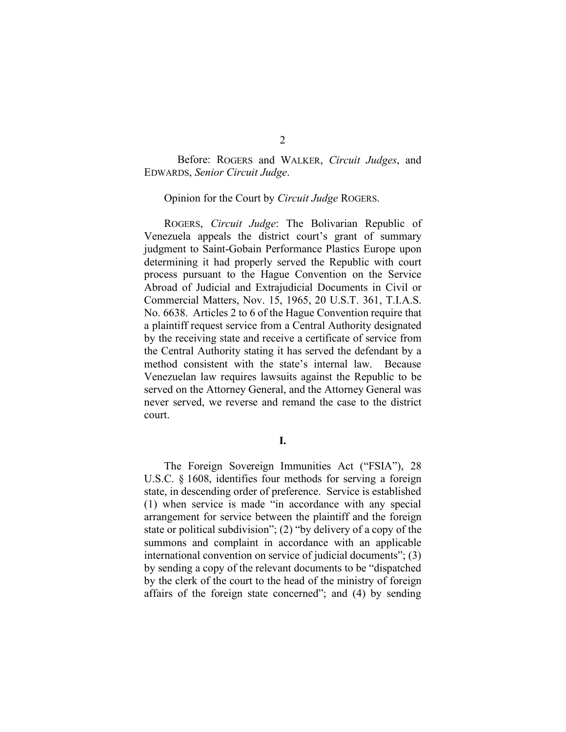Before: ROGERS and WALKER, *Circuit Judges*, and EDWARDS, *Senior Circuit Judge*.

Opinion for the Court by *Circuit Judge* ROGERS.

ROGERS, *Circuit Judge*: The Bolivarian Republic of Venezuela appeals the district court's grant of summary judgment to Saint-Gobain Performance Plastics Europe upon determining it had properly served the Republic with court process pursuant to the Hague Convention on the Service Abroad of Judicial and Extrajudicial Documents in Civil or Commercial Matters, Nov. 15, 1965, 20 U.S.T. 361, T.I.A.S. No. 6638. Articles 2 to 6 of the Hague Convention require that a plaintiff request service from a Central Authority designated by the receiving state and receive a certificate of service from the Central Authority stating it has served the defendant by a method consistent with the state's internal law. Because Venezuelan law requires lawsuits against the Republic to be served on the Attorney General, and the Attorney General was never served, we reverse and remand the case to the district court.

**I.**

The Foreign Sovereign Immunities Act ("FSIA"), 28 U.S.C. § 1608, identifies four methods for serving a foreign state, in descending order of preference. Service is established (1) when service is made "in accordance with any special arrangement for service between the plaintiff and the foreign state or political subdivision"; (2) "by delivery of a copy of the summons and complaint in accordance with an applicable international convention on service of judicial documents"; (3) by sending a copy of the relevant documents to be "dispatched by the clerk of the court to the head of the ministry of foreign affairs of the foreign state concerned"; and (4) by sending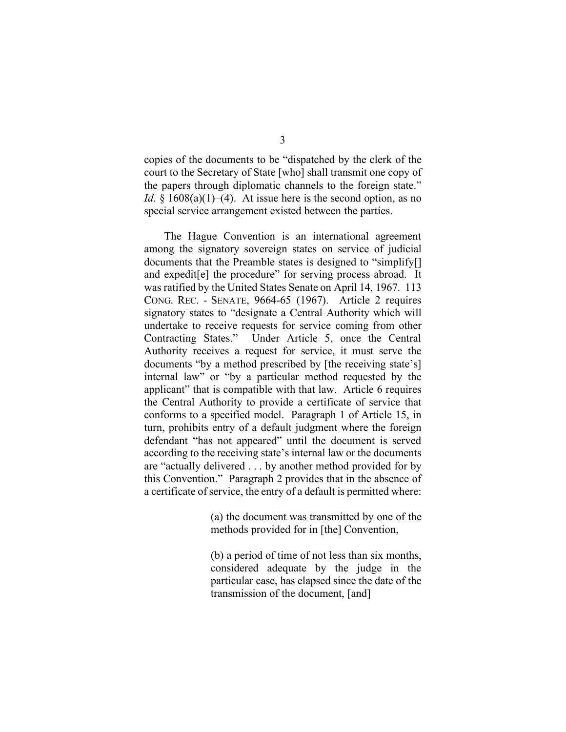copies of the documents to be "dispatched by the clerk of the court to the Secretary of State [who] shall transmit one copy of the papers through diplomatic channels to the foreign state." *Id.*  $\S$  1608(a)(1)–(4). At issue here is the second option, as no special service arrangement existed between the parties.

The Hague Convention is an international agreement among the signatory sovereign states on service of judicial documents that the Preamble states is designed to "simplify[] and expedit[e] the procedure" for serving process abroad. It was ratified by the United States Senate on April 14, 1967. 113 CONG. REC. - SENATE, 9664-65 (1967). Article 2 requires signatory states to "designate a Central Authority which will undertake to receive requests for service coming from other Contracting States." Under Article 5, once the Central Authority receives a request for service, it must serve the documents "by a method prescribed by [the receiving state's] internal law" or "by a particular method requested by the applicant" that is compatible with that law. Article 6 requires the Central Authority to provide a certificate of service that conforms to a specified model. Paragraph 1 of Article 15, in turn, prohibits entry of a default judgment where the foreign defendant "has not appeared" until the document is served according to the receiving state's internal law or the documents are "actually delivered . . . by another method provided for by this Convention." Paragraph 2 provides that in the absence of a certificate of service, the entry of a default is permitted where:

> (a) the document was transmitted by one of the methods provided for in [the] Convention,

> (b) a period of time of not less than six months, considered adequate by the judge in the particular case, has elapsed since the date of the transmission of the document, [and]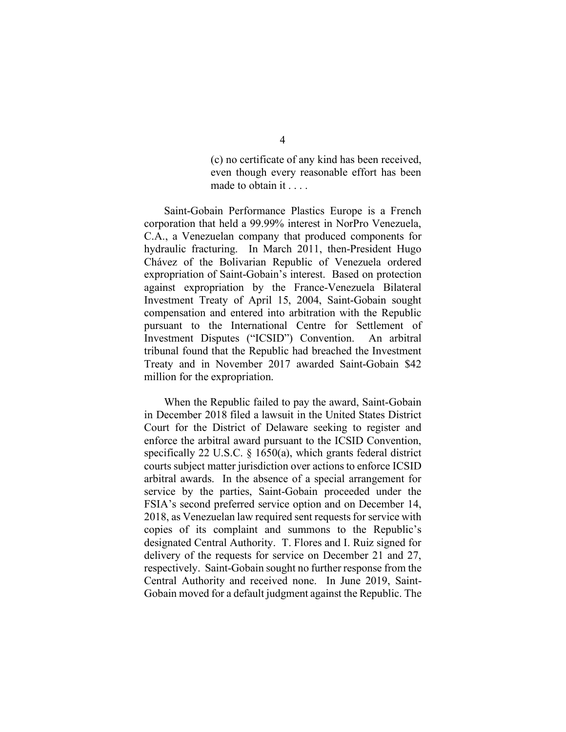(c) no certificate of any kind has been received, even though every reasonable effort has been made to obtain it . . . .

Saint-Gobain Performance Plastics Europe is a French corporation that held a 99.99% interest in NorPro Venezuela, C.A., a Venezuelan company that produced components for hydraulic fracturing. In March 2011, then-President Hugo Chávez of the Bolivarian Republic of Venezuela ordered expropriation of Saint-Gobain's interest. Based on protection against expropriation by the France-Venezuela Bilateral Investment Treaty of April 15, 2004, Saint-Gobain sought compensation and entered into arbitration with the Republic pursuant to the International Centre for Settlement of Investment Disputes ("ICSID") Convention. An arbitral tribunal found that the Republic had breached the Investment Treaty and in November 2017 awarded Saint-Gobain \$42 million for the expropriation.

When the Republic failed to pay the award, Saint-Gobain in December 2018 filed a lawsuit in the United States District Court for the District of Delaware seeking to register and enforce the arbitral award pursuant to the ICSID Convention, specifically 22 U.S.C. § 1650(a), which grants federal district courts subject matter jurisdiction over actions to enforce ICSID arbitral awards. In the absence of a special arrangement for service by the parties, Saint-Gobain proceeded under the FSIA's second preferred service option and on December 14, 2018, as Venezuelan law required sent requests for service with copies of its complaint and summons to the Republic's designated Central Authority. T. Flores and I. Ruiz signed for delivery of the requests for service on December 21 and 27, respectively. Saint-Gobain sought no further response from the Central Authority and received none. In June 2019, Saint-Gobain moved for a default judgment against the Republic. The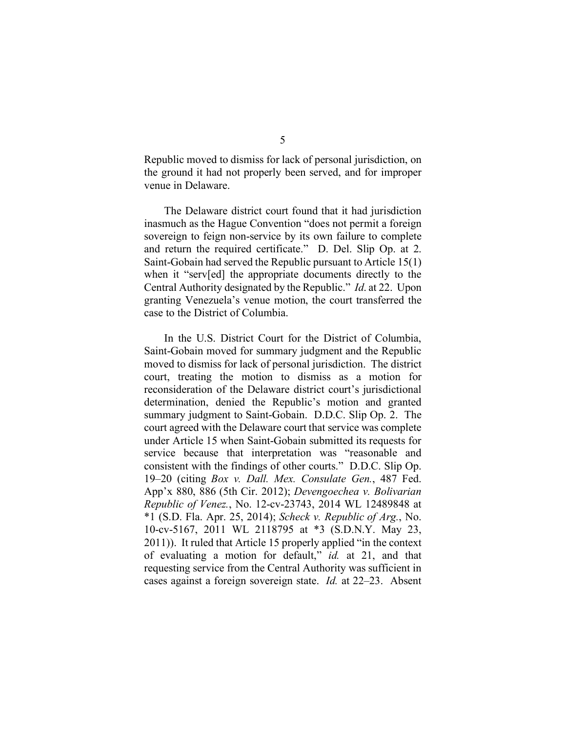Republic moved to dismiss for lack of personal jurisdiction, on the ground it had not properly been served, and for improper venue in Delaware.

The Delaware district court found that it had jurisdiction inasmuch as the Hague Convention "does not permit a foreign sovereign to feign non-service by its own failure to complete and return the required certificate." D. Del. Slip Op. at 2. Saint-Gobain had served the Republic pursuant to Article 15(1) when it "serv[ed] the appropriate documents directly to the Central Authority designated by the Republic." *Id*. at 22. Upon granting Venezuela's venue motion, the court transferred the case to the District of Columbia.

In the U.S. District Court for the District of Columbia, Saint-Gobain moved for summary judgment and the Republic moved to dismiss for lack of personal jurisdiction. The district court, treating the motion to dismiss as a motion for reconsideration of the Delaware district court's jurisdictional determination, denied the Republic's motion and granted summary judgment to Saint-Gobain. D.D.C. Slip Op. 2. The court agreed with the Delaware court that service was complete under Article 15 when Saint-Gobain submitted its requests for service because that interpretation was "reasonable and consistent with the findings of other courts." D.D.C. Slip Op. 19–20 (citing *Box v. Dall. Mex. Consulate Gen.*, 487 Fed. App'x 880, 886 (5th Cir. 2012); *Devengoechea v. Bolivarian Republic of Venez.*, No. 12-cv-23743, 2014 WL 12489848 at \*1 (S.D. Fla. Apr. 25, 2014); *Scheck v. Republic of Arg.*, No. 10-cv-5167, 2011 WL 2118795 at \*3 (S.D.N.Y. May 23, 2011)). It ruled that Article 15 properly applied "in the context of evaluating a motion for default," *id.* at 21, and that requesting service from the Central Authority was sufficient in cases against a foreign sovereign state. *Id.* at 22–23. Absent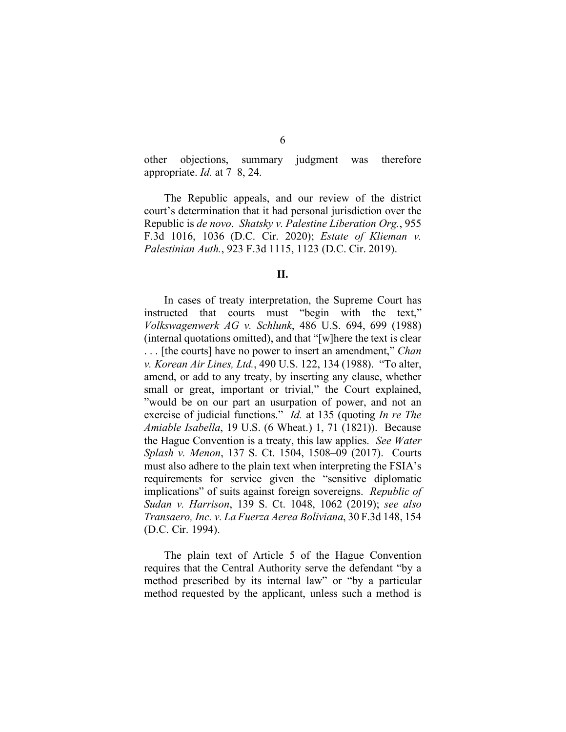other objections, summary judgment was therefore appropriate. *Id.* at 7–8, 24.

The Republic appeals, and our review of the district court's determination that it had personal jurisdiction over the Republic is *de novo*. *Shatsky v. Palestine Liberation Org.*, 955 F.3d 1016, 1036 (D.C. Cir. 2020); *Estate of Klieman v. Palestinian Auth.*, 923 F.3d 1115, 1123 (D.C. Cir. 2019).

**II.**

In cases of treaty interpretation, the Supreme Court has instructed that courts must "begin with the text," *Volkswagenwerk AG v. Schlunk*, 486 U.S. 694, 699 (1988) (internal quotations omitted), and that "[w]here the text is clear . . . [the courts] have no power to insert an amendment," *Chan v. Korean Air Lines, Ltd.*, 490 U.S. 122, 134 (1988). "To alter, amend, or add to any treaty, by inserting any clause, whether small or great, important or trivial," the Court explained, "would be on our part an usurpation of power, and not an exercise of judicial functions." *Id.* at 135 (quoting *In re The Amiable Isabella*, 19 U.S. (6 Wheat.) 1, 71 (1821)). Because the Hague Convention is a treaty, this law applies. *See Water Splash v. Menon*, 137 S. Ct. 1504, 1508–09 (2017). Courts must also adhere to the plain text when interpreting the FSIA's requirements for service given the "sensitive diplomatic implications" of suits against foreign sovereigns. *Republic of Sudan v. Harrison*, 139 S. Ct. 1048, 1062 (2019); *see also Transaero, Inc. v. La Fuerza Aerea Boliviana*, 30 F.3d 148, 154 (D.C. Cir. 1994).

The plain text of Article 5 of the Hague Convention requires that the Central Authority serve the defendant "by a method prescribed by its internal law" or "by a particular method requested by the applicant, unless such a method is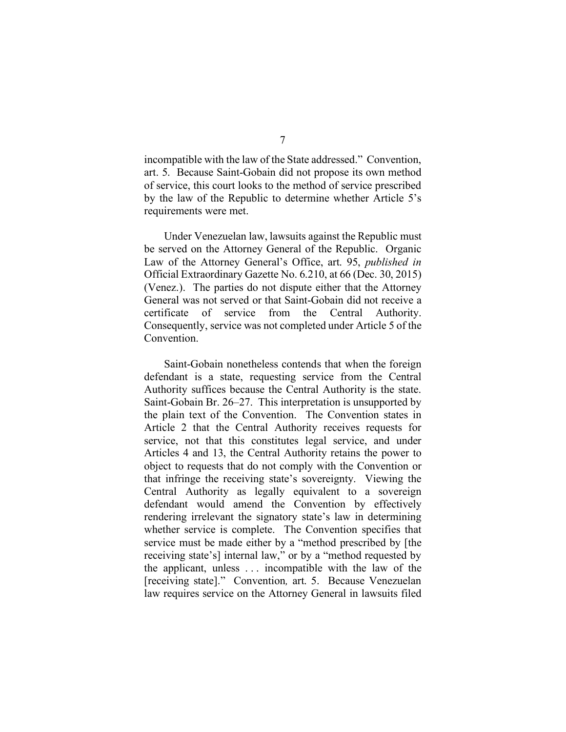incompatible with the law of the State addressed." Convention, art. 5. Because Saint-Gobain did not propose its own method of service, this court looks to the method of service prescribed by the law of the Republic to determine whether Article 5's requirements were met.

Under Venezuelan law, lawsuits against the Republic must be served on the Attorney General of the Republic. Organic Law of the Attorney General's Office, art. 95, *published in*  Official Extraordinary Gazette No. 6.210, at 66 (Dec. 30, 2015) (Venez.). The parties do not dispute either that the Attorney General was not served or that Saint-Gobain did not receive a certificate of service from the Central Authority. Consequently, service was not completed under Article 5 of the Convention.

Saint-Gobain nonetheless contends that when the foreign defendant is a state, requesting service from the Central Authority suffices because the Central Authority is the state. Saint-Gobain Br. 26–27. This interpretation is unsupported by the plain text of the Convention. The Convention states in Article 2 that the Central Authority receives requests for service, not that this constitutes legal service, and under Articles 4 and 13, the Central Authority retains the power to object to requests that do not comply with the Convention or that infringe the receiving state's sovereignty. Viewing the Central Authority as legally equivalent to a sovereign defendant would amend the Convention by effectively rendering irrelevant the signatory state's law in determining whether service is complete. The Convention specifies that service must be made either by a "method prescribed by [the receiving state's] internal law," or by a "method requested by the applicant, unless . . . incompatible with the law of the [receiving state]." Convention*,* art. 5. Because Venezuelan law requires service on the Attorney General in lawsuits filed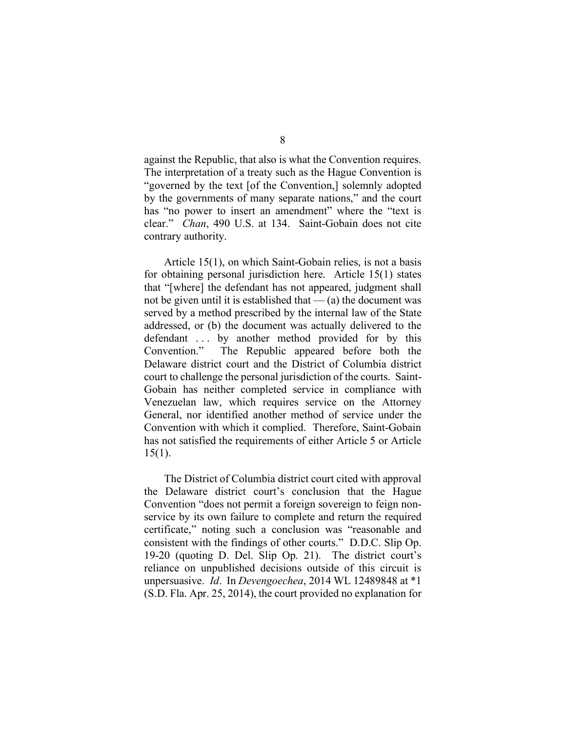against the Republic, that also is what the Convention requires. The interpretation of a treaty such as the Hague Convention is "governed by the text [of the Convention,] solemnly adopted by the governments of many separate nations," and the court has "no power to insert an amendment" where the "text is clear." *Chan*, 490 U.S. at 134. Saint-Gobain does not cite contrary authority.

Article 15(1), on which Saint-Gobain relies, is not a basis for obtaining personal jurisdiction here. Article 15(1) states that "[where] the defendant has not appeared, judgment shall not be given until it is established that  $-$  (a) the document was served by a method prescribed by the internal law of the State addressed, or (b) the document was actually delivered to the defendant ... by another method provided for by this Convention." The Republic appeared before both the Delaware district court and the District of Columbia district court to challenge the personal jurisdiction of the courts. Saint-Gobain has neither completed service in compliance with Venezuelan law, which requires service on the Attorney General, nor identified another method of service under the Convention with which it complied. Therefore, Saint-Gobain has not satisfied the requirements of either Article 5 or Article 15(1).

The District of Columbia district court cited with approval the Delaware district court's conclusion that the Hague Convention "does not permit a foreign sovereign to feign nonservice by its own failure to complete and return the required certificate," noting such a conclusion was "reasonable and consistent with the findings of other courts." D.D.C. Slip Op. 19-20 (quoting D. Del. Slip Op. 21). The district court's reliance on unpublished decisions outside of this circuit is unpersuasive. *Id*. In *Devengoechea*, 2014 WL 12489848 at \*1 (S.D. Fla. Apr. 25, 2014), the court provided no explanation for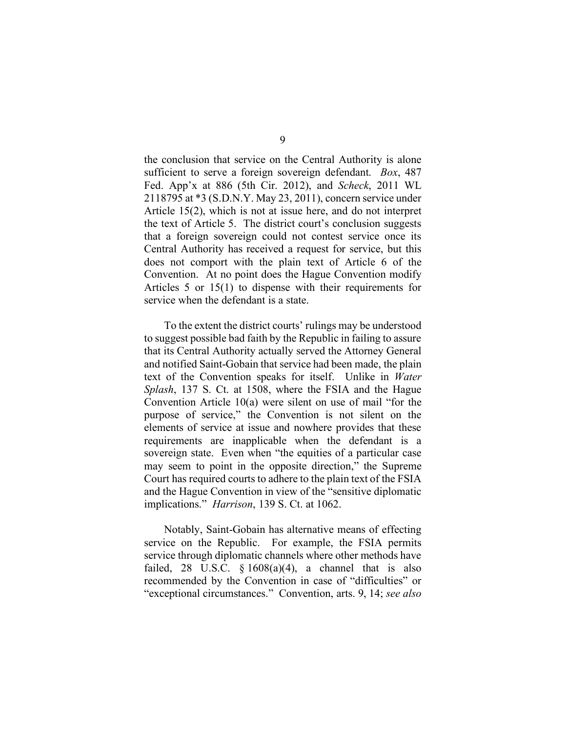the conclusion that service on the Central Authority is alone sufficient to serve a foreign sovereign defendant. *Box*, 487 Fed. App'x at 886 (5th Cir. 2012), and *Scheck*, 2011 WL 2118795 at \*3 (S.D.N.Y. May 23, 2011), concern service under Article 15(2), which is not at issue here, and do not interpret the text of Article 5. The district court's conclusion suggests that a foreign sovereign could not contest service once its Central Authority has received a request for service, but this does not comport with the plain text of Article 6 of the Convention. At no point does the Hague Convention modify Articles 5 or 15(1) to dispense with their requirements for service when the defendant is a state.

To the extent the district courts' rulings may be understood to suggest possible bad faith by the Republic in failing to assure that its Central Authority actually served the Attorney General and notified Saint-Gobain that service had been made, the plain text of the Convention speaks for itself. Unlike in *Water Splash*, 137 S. Ct. at 1508, where the FSIA and the Hague Convention Article 10(a) were silent on use of mail "for the purpose of service," the Convention is not silent on the elements of service at issue and nowhere provides that these requirements are inapplicable when the defendant is a sovereign state. Even when "the equities of a particular case may seem to point in the opposite direction," the Supreme Court has required courts to adhere to the plain text of the FSIA and the Hague Convention in view of the "sensitive diplomatic implications." *Harrison*, 139 S. Ct. at 1062.

Notably, Saint-Gobain has alternative means of effecting service on the Republic. For example, the FSIA permits service through diplomatic channels where other methods have failed, 28 U.S.C.  $\frac{6}{9}$  1608(a)(4), a channel that is also recommended by the Convention in case of "difficulties" or "exceptional circumstances." Convention, arts. 9, 14; *see also*